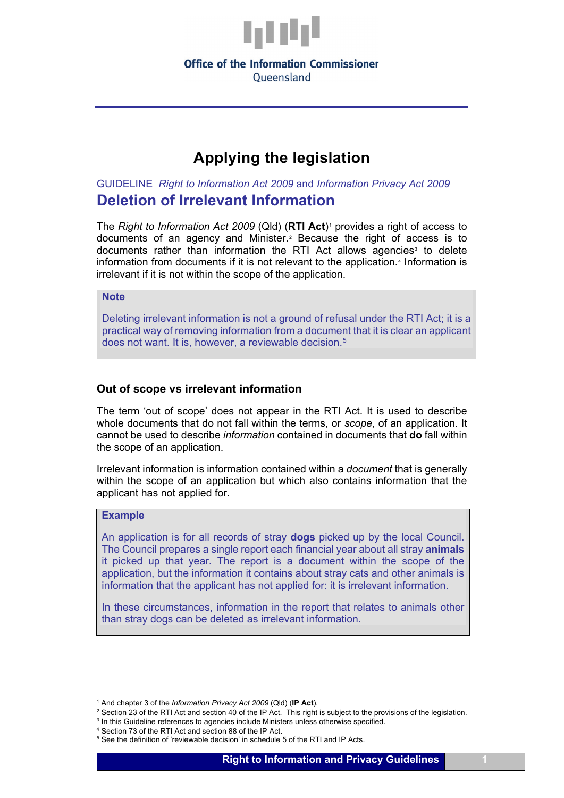

## **Office of the Information Commissioner** Oueensland

# **Applying the legislation**

GUIDELINE *Right to Information Act 2009* and *Information Privacy Act 2009* **Deletion of Irrelevant Information**

The *Right to Information Act 2009* (Qld) (RTI Act)<sup>[1](#page-0-0)</sup> provides a right of access to documents of an agency and Minister.[2](#page-0-1) Because the right of access is to documents rather than information the RTI Act allows agencies<sup>[3](#page-0-2)</sup> to delete information from documents if it is not relevant to the application.[4](#page-0-3) Information is irrelevant if it is not within the scope of the application.

#### **Note**

Deleting irrelevant information is not a ground of refusal under the RTI Act; it is a practical way of removing information from a document that it is clear an applicant does not want. It is, however, a reviewable decision.[5](#page-0-4)

## **Out of scope vs irrelevant information**

The term 'out of scope' does not appear in the RTI Act. It is used to describe whole documents that do not fall within the terms, or *scope*, of an application. It cannot be used to describe *information* contained in documents that **do** fall within the scope of an application.

Irrelevant information is information contained within a *document* that is generally within the scope of an application but which also contains information that the applicant has not applied for.

# **Example**

An application is for all records of stray **dogs** picked up by the local Council. The Council prepares a single report each financial year about all stray **animals** it picked up that year. The report is a document within the scope of the application, but the information it contains about stray cats and other animals is information that the applicant has not applied for: it is irrelevant information.

In these circumstances, information in the report that relates to animals other than stray dogs can be deleted as irrelevant information.

<sup>1</sup> And chapter 3 of the *Information Privacy Act 2009* (Qld) (**IP Act**).

<span id="page-0-1"></span><span id="page-0-0"></span><sup>&</sup>lt;sup>2</sup> Section 23 of the RTI Act and section 40 of the IP Act. This right is subject to the provisions of the legislation.  $3 \text{ In this }$  Guideline references to agencies include Ministers unless otherwise specified.

<span id="page-0-3"></span><span id="page-0-2"></span>

<sup>4</sup> Section 73 of the RTI Act and section 88 of the IP Act.

<span id="page-0-4"></span><sup>&</sup>lt;sup>5</sup> See the definition of 'reviewable decision' in schedule 5 of the RTI and IP Acts.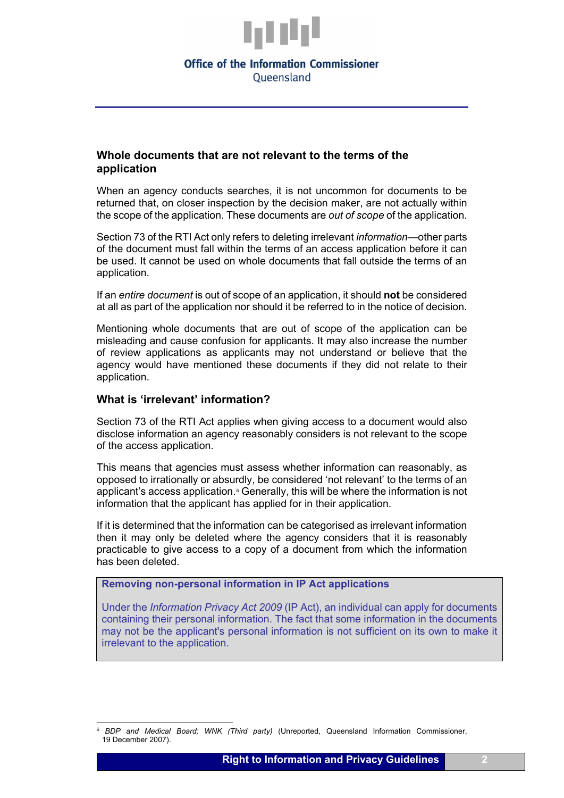

## **Office of the Information Commissioner** Oueensland

# **Whole documents that are not relevant to the terms of the application**

When an agency conducts searches, it is not uncommon for documents to be returned that, on closer inspection by the decision maker, are not actually within the scope of the application. These documents are *out of scope* of the application.

Section 73 of the RTI Act only refers to deleting irrelevant *information*—other parts of the document must fall within the terms of an access application before it can be used. It cannot be used on whole documents that fall outside the terms of an application.

If an *entire document* is out of scope of an application, it should **not** be considered at all as part of the application nor should it be referred to in the notice of decision.

Mentioning whole documents that are out of scope of the application can be misleading and cause confusion for applicants. It may also increase the number of review applications as applicants may not understand or believe that the agency would have mentioned these documents if they did not relate to their application.

#### **What is 'irrelevant' information?**

Section 73 of the RTI Act applies when giving access to a document would also disclose information an agency reasonably considers is not relevant to the scope of the access application.

This means that agencies must assess whether information can reasonably, as opposed to irrationally or absurdly, be considered 'not relevant' to the terms of an applicant's access application.<sup>[6](#page-1-0)</sup> Generally, this will be where the information is not information that the applicant has applied for in their application.

If it is determined that the information can be categorised as irrelevant information then it may only be deleted where the agency considers that it is reasonably practicable to give access to a copy of a document from which the information has been deleted.

**Removing non-personal information in IP Act applications**

Under the *Information Privacy Act 2009* (IP Act), an individual can apply for documents containing their personal information. The fact that some information in the documents may not be the applicant's personal information is not sufficient on its own to make it irrelevant to the application.

<span id="page-1-0"></span><sup>6</sup> *BDP and Medical Board; WNK (Third party)* (Unreported, Queensland Information Commissioner, 19 December 2007).